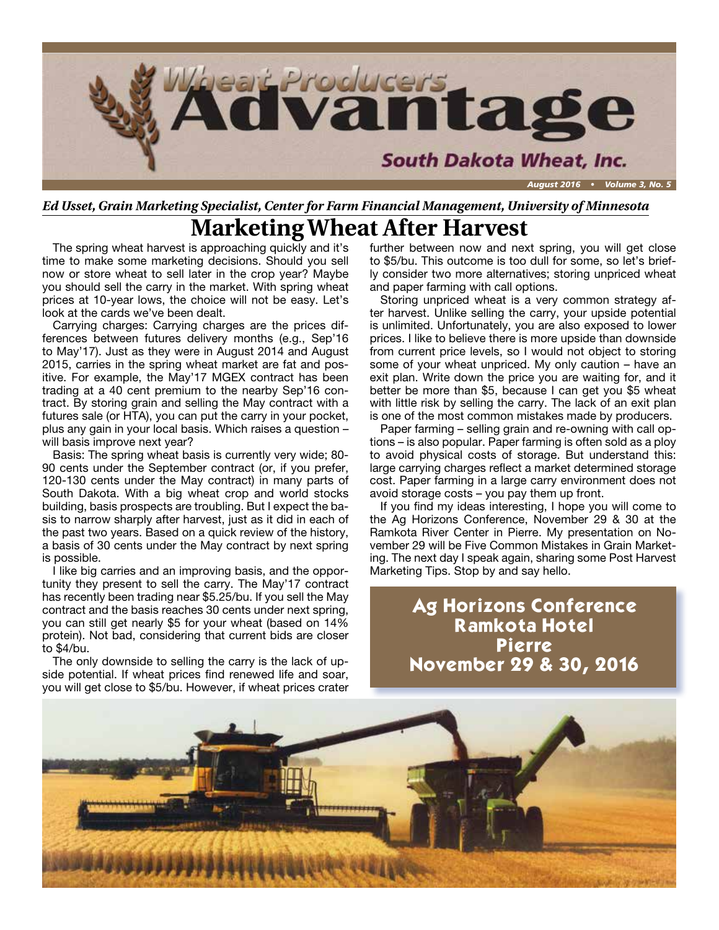

# *Ed Usset, Grain Marketing Specialist, Center for Farm Financial Management, University of Minnesota*

## **Marketing Wheat After Harvest**

The spring wheat harvest is approaching quickly and it's time to make some marketing decisions. Should you sell now or store wheat to sell later in the crop year? Maybe you should sell the carry in the market. With spring wheat prices at 10-year lows, the choice will not be easy. Let's look at the cards we've been dealt.

Carrying charges: Carrying charges are the prices differences between futures delivery months (e.g., Sep'16 to May'17). Just as they were in August 2014 and August 2015, carries in the spring wheat market are fat and positive. For example, the May'17 MGEX contract has been trading at a 40 cent premium to the nearby Sep'16 contract. By storing grain and selling the May contract with a futures sale (or HTA), you can put the carry in your pocket, plus any gain in your local basis. Which raises a question – will basis improve next year?

Basis: The spring wheat basis is currently very wide; 80- 90 cents under the September contract (or, if you prefer, 120-130 cents under the May contract) in many parts of South Dakota. With a big wheat crop and world stocks building, basis prospects are troubling. But I expect the basis to narrow sharply after harvest, just as it did in each of the past two years. Based on a quick review of the history, a basis of 30 cents under the May contract by next spring is possible.

I like big carries and an improving basis, and the opportunity they present to sell the carry. The May'17 contract has recently been trading near \$5.25/bu. If you sell the May contract and the basis reaches 30 cents under next spring, you can still get nearly \$5 for your wheat (based on 14% protein). Not bad, considering that current bids are closer to \$4/bu.

The only downside to selling the carry is the lack of upside potential. If wheat prices find renewed life and soar, you will get close to \$5/bu. However, if wheat prices crater further between now and next spring, you will get close to \$5/bu. This outcome is too dull for some, so let's briefly consider two more alternatives; storing unpriced wheat and paper farming with call options.

Storing unpriced wheat is a very common strategy after harvest. Unlike selling the carry, your upside potential is unlimited. Unfortunately, you are also exposed to lower prices. I like to believe there is more upside than downside from current price levels, so I would not object to storing some of your wheat unpriced. My only caution – have an exit plan. Write down the price you are waiting for, and it better be more than \$5, because I can get you \$5 wheat with little risk by selling the carry. The lack of an exit plan is one of the most common mistakes made by producers.

Paper farming – selling grain and re-owning with call options – is also popular. Paper farming is often sold as a ploy to avoid physical costs of storage. But understand this: large carrying charges reflect a market determined storage cost. Paper farming in a large carry environment does not avoid storage costs – you pay them up front.

If you find my ideas interesting, I hope you will come to the Ag Horizons Conference, November 29 & 30 at the Ramkota River Center in Pierre. My presentation on November 29 will be Five Common Mistakes in Grain Marketing. The next day I speak again, sharing some Post Harvest Marketing Tips. Stop by and say hello.

> **Ag Horizons Conference Ramkota Hotel Pierre November 29 & 30, 2016**

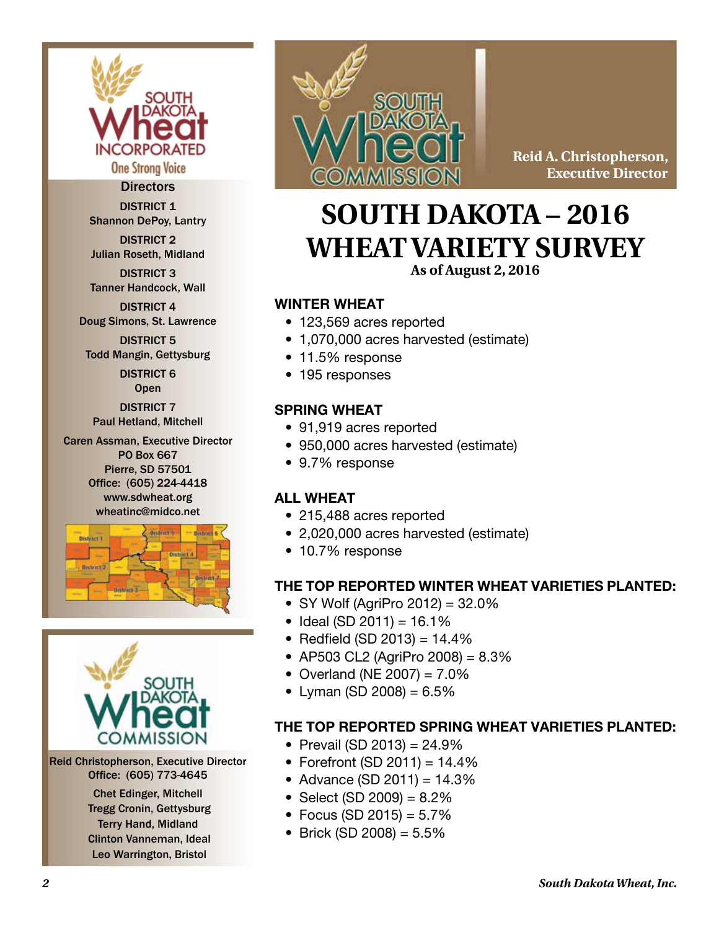

**One Strong Voice** 

### **Directors** DISTRICT 1

Shannon DePoy, Lantry

DISTRICT 2 Julian Roseth, Midland

DISTRICT 3 Tanner Handcock, Wall

DISTRICT 4 Doug Simons, St. Lawrence

DISTRICT 5 Todd Mangin, Gettysburg

> DISTRICT 6 **Open**

DISTRICT 7 Paul Hetland, Mitchell

Caren Assman, Executive Director PO Box 667 Pierre, SD 57501 Office: (605) 224-4418 www.sdwheat.org wheatinc@midco.net





Reid Christopherson, Executive Director Office: (605) 773-4645 Chet Edinger, Mitchell Tregg Cronin, Gettysburg Terry Hand, Midland Clinton Vanneman, Ideal Leo Warrington, Bristol



**Reid A. Christopherson, Executive Director**

# **SOUTH DAKOTA – 2016 WHEAT VARIETY SURVEY As of August 2, 2016**

### **WINTER WHEAT**

- 123,569 acres reported
- 1,070,000 acres harvested (estimate)
- 11.5% response
- 195 responses

### **SPRING WHEAT**

- 91,919 acres reported
- 950,000 acres harvested (estimate)
- 9.7% response

### **ALL WHEAT**

- 215,488 acres reported
- 2,020,000 acres harvested (estimate)
- 10.7% response

### **THE TOP REPORTED WINTER WHEAT VARIETIES PLANTED:**

- SY Wolf (AgriPro 2012) =  $32.0\%$
- Ideal (SD 2011) =  $16.1\%$
- Redfield (SD 2013) =  $14.4\%$
- AP503 CL2 (AgriPro 2008) = 8.3%
- Overland (NE 2007) =  $7.0\%$
- Lyman (SD 2008) =  $6.5\%$

### **THE TOP REPORTED SPRING WHEAT VARIETIES PLANTED:**

- Prevail (SD 2013) =  $24.9\%$
- Forefront (SD 2011) =  $14.4\%$
- Advance (SD 2011) =  $14.3\%$
- Select (SD 2009) =  $8.2\%$
- Focus (SD 2015) =  $5.7\%$
- Brick (SD 2008) =  $5.5\%$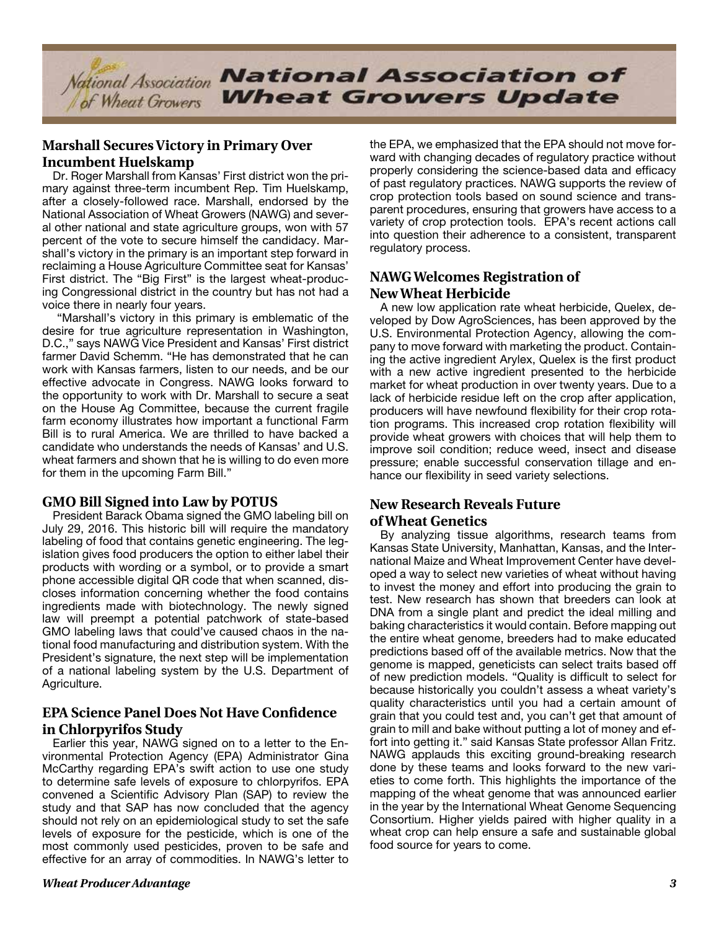

### **Marshall Secures Victory in Primary Over Incumbent Huelskamp**

Dr. Roger Marshall from Kansas' First district won the primary against three-term incumbent Rep. Tim Huelskamp, after a closely-followed race. Marshall, endorsed by the National Association of Wheat Growers (NAWG) and several other national and state agriculture groups, won with 57 percent of the vote to secure himself the candidacy. Marshall's victory in the primary is an important step forward in reclaiming a House Agriculture Committee seat for Kansas' First district. The "Big First" is the largest wheat-producing Congressional district in the country but has not had a voice there in nearly four years.

 "Marshall's victory in this primary is emblematic of the desire for true agriculture representation in Washington, D.C.," says NAWG Vice President and Kansas' First district farmer David Schemm. "He has demonstrated that he can work with Kansas farmers, listen to our needs, and be our effective advocate in Congress. NAWG looks forward to the opportunity to work with Dr. Marshall to secure a seat on the House Ag Committee, because the current fragile farm economy illustrates how important a functional Farm Bill is to rural America. We are thrilled to have backed a candidate who understands the needs of Kansas' and U.S. wheat farmers and shown that he is willing to do even more for them in the upcoming Farm Bill."

#### **GMO Bill Signed into Law by POTUS**

President Barack Obama signed the GMO labeling bill on July 29, 2016. This historic bill will require the mandatory labeling of food that contains genetic engineering. The legislation gives food producers the option to either label their products with wording or a symbol, or to provide a smart phone accessible digital QR code that when scanned, discloses information concerning whether the food contains ingredients made with biotechnology. The newly signed law will preempt a potential patchwork of state-based GMO labeling laws that could've caused chaos in the national food manufacturing and distribution system. With the President's signature, the next step will be implementation of a national labeling system by the U.S. Department of Agriculture.

### **EPA Science Panel Does Not Have Confidence in Chlorpyrifos Study**

Earlier this year, NAWG signed on to a letter to the Environmental Protection Agency (EPA) Administrator Gina McCarthy regarding EPA's swift action to use one study to determine safe levels of exposure to chlorpyrifos. EPA convened a Scientific Advisory Plan (SAP) to review the study and that SAP has now concluded that the agency should not rely on an epidemiological study to set the safe levels of exposure for the pesticide, which is one of the most commonly used pesticides, proven to be safe and effective for an array of commodities. In NAWG's letter to

the EPA, we emphasized that the EPA should not move forward with changing decades of regulatory practice without properly considering the science-based data and efficacy of past regulatory practices. NAWG supports the review of crop protection tools based on sound science and transparent procedures, ensuring that growers have access to a variety of crop protection tools. EPA's recent actions call into question their adherence to a consistent, transparent regulatory process.

### **NAWG Welcomes Registration of New Wheat Herbicide**

A new low application rate wheat herbicide, Quelex, developed by Dow AgroSciences, has been approved by the U.S. Environmental Protection Agency, allowing the company to move forward with marketing the product. Containing the active ingredient Arylex, Quelex is the first product with a new active ingredient presented to the herbicide market for wheat production in over twenty years. Due to a lack of herbicide residue left on the crop after application, producers will have newfound flexibility for their crop rotation programs. This increased crop rotation flexibility will provide wheat growers with choices that will help them to improve soil condition; reduce weed, insect and disease pressure; enable successful conservation tillage and enhance our flexibility in seed variety selections.

## **New Research Reveals Future**

#### **of Wheat Genetics**

By analyzing tissue algorithms, research teams from Kansas State University, Manhattan, Kansas, and the International Maize and Wheat Improvement Center have developed a way to select new varieties of wheat without having to invest the money and effort into producing the grain to test. New research has shown that breeders can look at DNA from a single plant and predict the ideal milling and baking characteristics it would contain. Before mapping out the entire wheat genome, breeders had to make educated predictions based off of the available metrics. Now that the genome is mapped, geneticists can select traits based off of new prediction models. "Quality is difficult to select for because historically you couldn't assess a wheat variety's quality characteristics until you had a certain amount of grain that you could test and, you can't get that amount of grain to mill and bake without putting a lot of money and effort into getting it." said Kansas State professor Allan Fritz. NAWG applauds this exciting ground-breaking research done by these teams and looks forward to the new varieties to come forth. This highlights the importance of the mapping of the wheat genome that was announced earlier in the year by the International Wheat Genome Sequencing Consortium. Higher yields paired with higher quality in a wheat crop can help ensure a safe and sustainable global food source for years to come.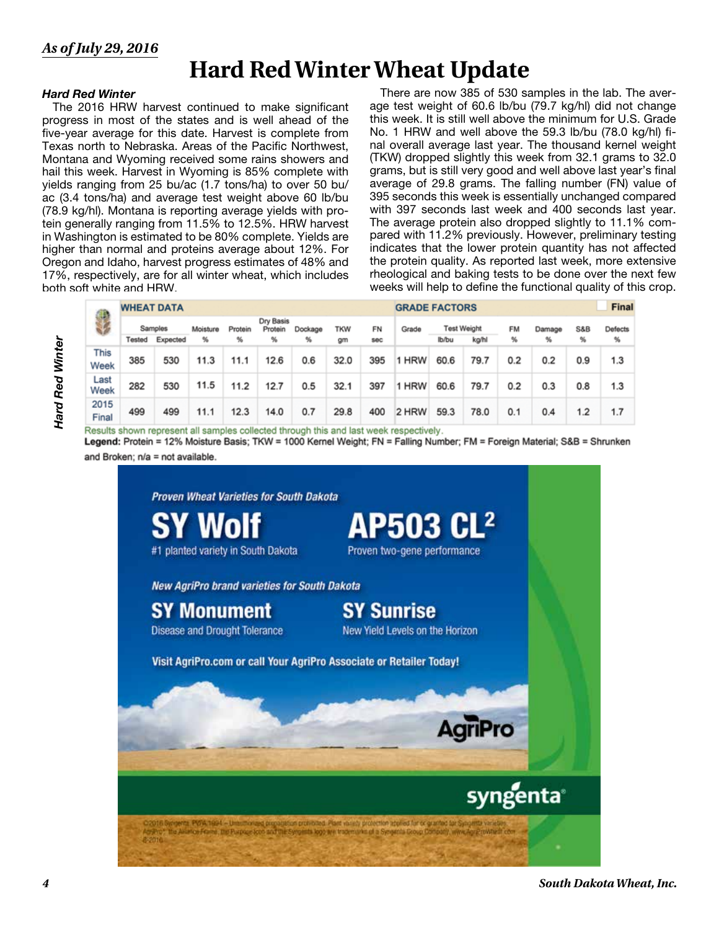# **Hard Red Winter Wheat Update**

#### *Hard Red Winter*

The 2016 HRW harvest continued to make significant progress in most of the states and is well ahead of the five-year average for this date. Harvest is complete from Texas north to Nebraska. Areas of the Pacific Northwest, Montana and Wyoming received some rains showers and hail this week. Harvest in Wyoming is 85% complete with yields ranging from 25 bu/ac (1.7 tons/ha) to over 50 bu/ ac (3.4 tons/ha) and average test weight above 60 lb/bu (78.9 kg/hl). Montana is reporting average yields with protein generally ranging from 11.5% to 12.5%. HRW harvest in Washington is estimated to be 80% complete. Yields are higher than normal and proteins average about 12%. For Oregon and Idaho, harvest progress estimates of 48% and 17%, respectively, are for all winter wheat, which includes both soft white and HRW.

There are now 385 of 530 samples in the lab. The average test weight of 60.6 lb/bu (79.7 kg/hl) did not change this week. It is still well above the minimum for U.S. Grade No. 1 HRW and well above the 59.3 lb/bu (78.0 kg/hl) final overall average last year. The thousand kernel weight (TKW) dropped slightly this week from 32.1 grams to 32.0 grams, but is still very good and well above last year's final average of 29.8 grams. The falling number (FN) value of 395 seconds this week is essentially unchanged compared with 397 seconds last week and 400 seconds last year. The average protein also dropped slightly to 11.1% compared with 11.2% previously. However, preliminary testing indicates that the lower protein quantity has not affected the protein quality. As reported last week, more extensive rheological and baking tests to be done over the next few weeks will help to define the functional quality of this crop.

|               |         | <b>WHEAT DATA</b> |                     |      |                      |         |      |     | <b>GRADE FACTORS</b> |                    |       |     |        |     | Final   |  |
|---------------|---------|-------------------|---------------------|------|----------------------|---------|------|-----|----------------------|--------------------|-------|-----|--------|-----|---------|--|
|               | Samples |                   | Moisture<br>Protein |      | Dry Basis<br>Protein | Dockage | TKW  | FN  | Grade                | <b>Test Weight</b> |       | FM  | Damage | S&B | Defects |  |
|               | Tested  | Expected          | %                   | %    | %                    | %       | gm   | sec |                      | lb/bu              | kg/hl | %   | %      | %   | ℁       |  |
| This<br>Week  | 385     | 530               | 11.3                | 11.1 | 12.6                 | 0.6     | 32.0 | 395 | 1 HRW                | 60.6               | 79.7  | 0.2 | 0.2    | 0.9 | 1.3     |  |
| Last<br>Week  | 282     | 530               | 11.5                | 11.2 | 12.7                 | 0.5     | 32.1 | 397 | 1 HRW                | 60.6               | 79.7  | 0.2 | 0.3    | 0.8 | 1.3     |  |
| 2015<br>Final | 499     | 499               | 11.1                | 12.3 | 14.0                 | 0.7     | 29.8 | 400 | 2 HRW                | 59.3               | 78.0  | 0.1 | 0.4    | 1.2 | 1.7     |  |

*Hard Red Winter* **Hard Red Winter** 



Results shown represent all samples collected through this and last week respectively.

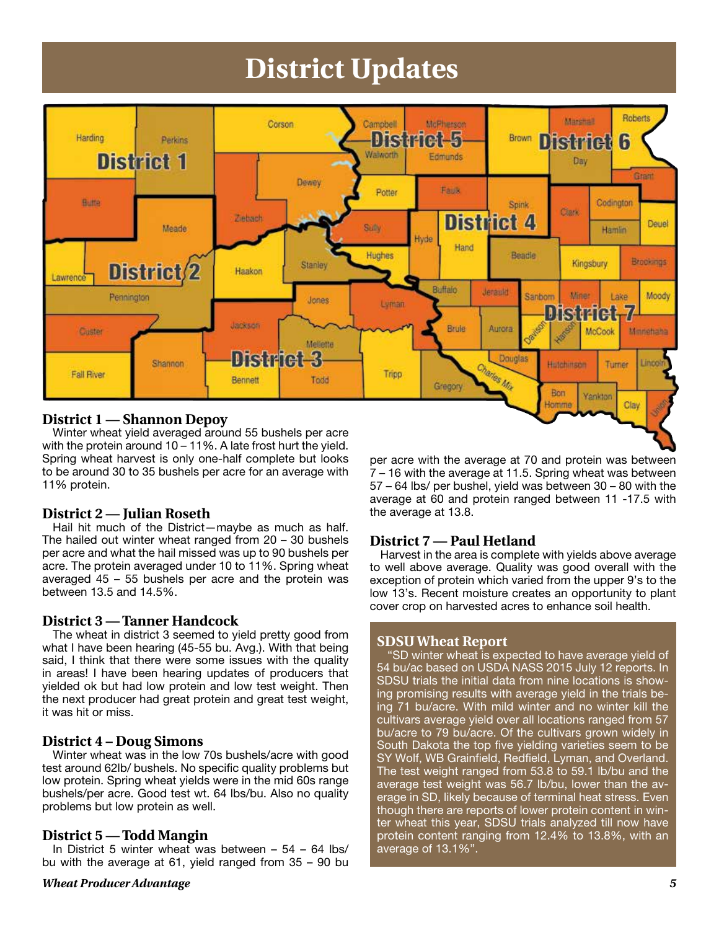# **District Updates**



with the protein around 10 – 11%. A late frost hurt the yield. Spring wheat harvest is only one-half complete but looks to be around 30 to 35 bushels per acre for an average with 11% protein.

### **District 2 — Julian Roseth**

Hail hit much of the District—maybe as much as half. The hailed out winter wheat ranged from 20 – 30 bushels per acre and what the hail missed was up to 90 bushels per acre. The protein averaged under 10 to 11%. Spring wheat averaged 45 – 55 bushels per acre and the protein was between 13.5 and 14.5%.

#### **District 3 — Tanner Handcock**

The wheat in district 3 seemed to yield pretty good from what I have been hearing (45-55 bu. Avg.). With that being said, I think that there were some issues with the quality in areas! I have been hearing updates of producers that yielded ok but had low protein and low test weight. Then the next producer had great protein and great test weight, it was hit or miss.

#### **District 4 – Doug Simons**

Winter wheat was in the low 70s bushels/acre with good test around 62lb/ bushels. No specific quality problems but low protein. Spring wheat yields were in the mid 60s range bushels/per acre. Good test wt. 64 lbs/bu. Also no quality problems but low protein as well.

### **District 5 — Todd Mangin**

In District 5 winter wheat was between  $-54 - 64$  lbs/ bu with the average at 61, yield ranged from 35 – 90 bu

per acre with the average at 70 and protein was between 7 – 16 with the average at 11.5. Spring wheat was between 57 – 64 lbs/ per bushel, yield was between 30 – 80 with the average at 60 and protein ranged between 11 -17.5 with the average at 13.8.

### **District 7 — Paul Hetland**

Harvest in the area is complete with yields above average to well above average. Quality was good overall with the exception of protein which varied from the upper 9's to the low 13's. Recent moisture creates an opportunity to plant cover crop on harvested acres to enhance soil health.

### **SDSU Wheat Report**

"SD winter wheat is expected to have average yield of 54 bu/ac based on USDA NASS 2015 July 12 reports. In SDSU trials the initial data from nine locations is showing promising results with average yield in the trials being 71 bu/acre. With mild winter and no winter kill the cultivars average yield over all locations ranged from 57 bu/acre to 79 bu/acre. Of the cultivars grown widely in South Dakota the top five yielding varieties seem to be SY Wolf, WB Grainfield, Redfield, Lyman, and Overland. The test weight ranged from 53.8 to 59.1 lb/bu and the average test weight was 56.7 lb/bu, lower than the average in SD, likely because of terminal heat stress. Even though there are reports of lower protein content in winter wheat this year, SDSU trials analyzed till now have protein content ranging from 12.4% to 13.8%, with an average of 13.1%".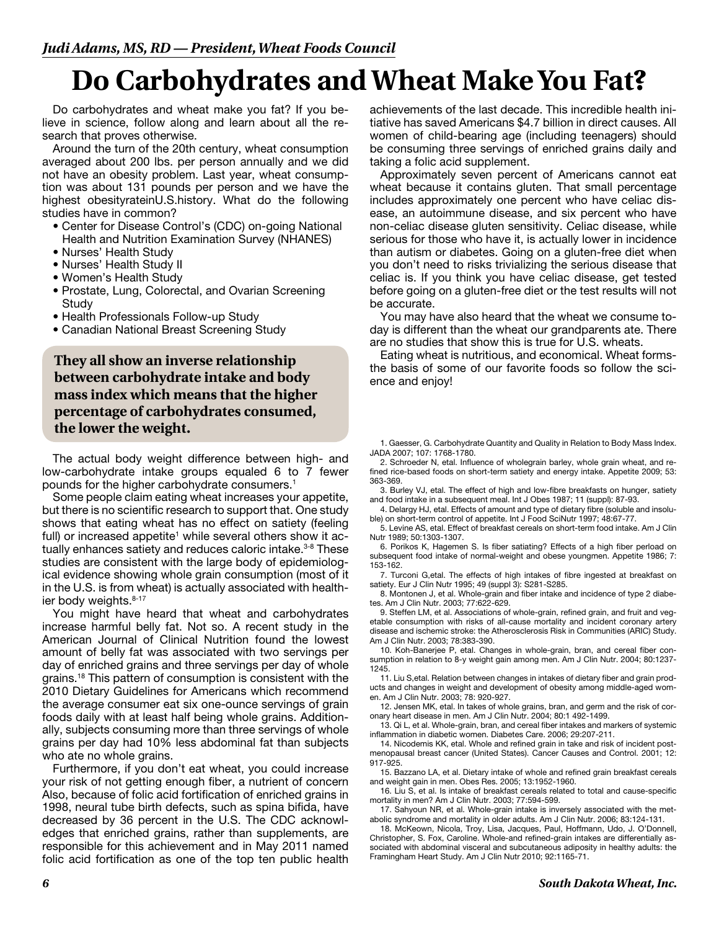# **Do Carbohydrates and Wheat Make You Fat?**

Do carbohydrates and wheat make you fat? If you believe in science, follow along and learn about all the research that proves otherwise.

Around the turn of the 20th century, wheat consumption averaged about 200 lbs. per person annually and we did not have an obesity problem. Last year, wheat consumption was about 131 pounds per person and we have the highest obesityrateinU.S.history. What do the following studies have in common?

- Center for Disease Control's (CDC) on-going National Health and Nutrition Examination Survey (NHANES)
- Nurses' Health Study
- Nurses' Health Study II
- Women's Health Study
- Prostate, Lung, Colorectal, and Ovarian Screening Study
- Health Professionals Follow-up Study
- Canadian National Breast Screening Study

**They all show an inverse relationship between carbohydrate intake and body mass index which means that the higher percentage of carbohydrates consumed, the lower the weight.**

The actual body weight difference between high- and low-carbohydrate intake groups equaled 6 to 7 fewer pounds for the higher carbohydrate consumers.<sup>1</sup>

Some people claim eating wheat increases your appetite, but there is no scientific research to support that. One study shows that eating wheat has no effect on satiety (feeling full) or increased appetite<sup>1</sup> while several others show it actually enhances satiety and reduces caloric intake.<sup>3-8</sup> These studies are consistent with the large body of epidemiological evidence showing whole grain consumption (most of it in the U.S. is from wheat) is actually associated with healthier body weights. 8-17

You might have heard that wheat and carbohydrates increase harmful belly fat. Not so. A recent study in the American Journal of Clinical Nutrition found the lowest amount of belly fat was associated with two servings per day of enriched grains and three servings per day of whole grains.18 This pattern of consumption is consistent with the 2010 Dietary Guidelines for Americans which recommend the average consumer eat six one-ounce servings of grain foods daily with at least half being whole grains. Additionally, subjects consuming more than three servings of whole grains per day had 10% less abdominal fat than subjects who ate no whole grains.

Furthermore, if you don't eat wheat, you could increase your risk of not getting enough fiber, a nutrient of concern Also, because of folic acid fortification of enriched grains in 1998, neural tube birth defects, such as spina bifida, have decreased by 36 percent in the U.S. The CDC acknowledges that enriched grains, rather than supplements, are responsible for this achievement and in May 2011 named folic acid fortification as one of the top ten public health

achievements of the last decade. This incredible health initiative has saved Americans \$4.7 billion in direct causes. All women of child-bearing age (including teenagers) should be consuming three servings of enriched grains daily and taking a folic acid supplement.

Approximately seven percent of Americans cannot eat wheat because it contains gluten. That small percentage includes approximately one percent who have celiac disease, an autoimmune disease, and six percent who have non-celiac disease gluten sensitivity. Celiac disease, while serious for those who have it, is actually lower in incidence than autism or diabetes. Going on a gluten-free diet when you don't need to risks trivializing the serious disease that celiac is. If you think you have celiac disease, get tested before going on a gluten-free diet or the test results will not be accurate.

You may have also heard that the wheat we consume today is different than the wheat our grandparents ate. There are no studies that show this is true for U.S. wheats.

Eating wheat is nutritious, and economical. Wheat formsthe basis of some of our favorite foods so follow the science and enjoy!

1. Gaesser, G. Carbohydrate Quantity and Quality in Relation to Body Mass Index. JADA 2007; 107: 1768-1780.

2. Schroeder N, etal. Influence of wholegrain barley, whole grain wheat, and refined rice-based foods on short-term satiety and energy intake. Appetite 2009; 53: 363-369.

3. Burley VJ, etal. The effect of high and low-fibre breakfasts on hunger, satiety and food intake in a subsequent meal. Int J Obes 1987; 11 (suppl): 87-93.

4. Delargy HJ, etal. Effects of amount and type of dietary fibre (soluble and insoluble) on short-term control of appetite. Int J Food SciNutr 1997; 48:67-77.

5. Levine AS, etal. Effect of breakfast cereals on short-term food intake. Am J Clin Nutr 1989; 50:1303-1307.

6. Porikos K, Hagemen S. Is fiber satiating? Effects of a high fiber perload on subsequent food intake of normal-weight and obese youngmen. Appetite 1986; 7: 153-162.

7. Turconi G,etal. The effects of high intakes of fibre ingested at breakfast on satiety. Eur J Clin Nutr 1995; 49 (suppl 3): S281-S285.

8. Montonen J, et al. Whole-grain and fiber intake and incidence of type 2 diabetes. Am J Clin Nutr. 2003; 77:622-629.

9. Steffen LM, et al. Associations of whole-grain, refined grain, and fruit and vegetable consumption with risks of all-cause mortality and incident coronary artery disease and ischemic stroke: the Atherosclerosis Risk in Communities (ARIC) Study. Am J Clin Nutr. 2003; 78:383-390.

10. Koh-Banerjee P, etal. Changes in whole-grain, bran, and cereal fiber consumption in relation to 8-y weight gain among men. Am J Clin Nutr. 2004; 80:1237- 1245.

11. Liu S,etal. Relation between changes in intakes of dietary fiber and grain products and changes in weight and development of obesity among middle-aged women. Am J Clin Nutr. 2003; 78: 920-927.

12. Jensen MK, etal. In takes of whole grains, bran, and germ and the risk of coronary heart disease in men. Am J Clin Nutr. 2004; 80:1 492-1499.

13. Qi L, et al. Whole-grain, bran, and cereal fiber intakes and markers of systemic inflammation in diabetic women. Diabetes Care. 2006; 29:207-211.

14. Nicodemis KK, etal. Whole and refined grain in take and risk of incident postmenopausal breast cancer (United States). Cancer Causes and Control. 2001; 12: 917-925.

15. Bazzano LA, et al. Dietary intake of whole and refined grain breakfast cereals and weight gain in men. Obes Res. 2005; 13:1952-1960.

16. Liu S, et al. Is intake of breakfast cereals related to total and cause-specific mortality in men? Am J Clin Nutr. 2003; 77:594-599.

17. Sahyoun NR, et al. Whole-grain intake is inversely associated with the metabolic syndrome and mortality in older adults. Am J Clin Nutr. 2006; 83:124-131.

18. McKeown, Nicola, Troy, Lisa, Jacques, Paul, Hoffmann, Udo, J. O'Donnell, Christopher, S. Fox, Caroline. Whole-and refined-grain intakes are differentially associated with abdominal visceral and subcutaneous adiposity in healthy adults: the Framingham Heart Study. Am J Clin Nutr 2010; 92:1165-71.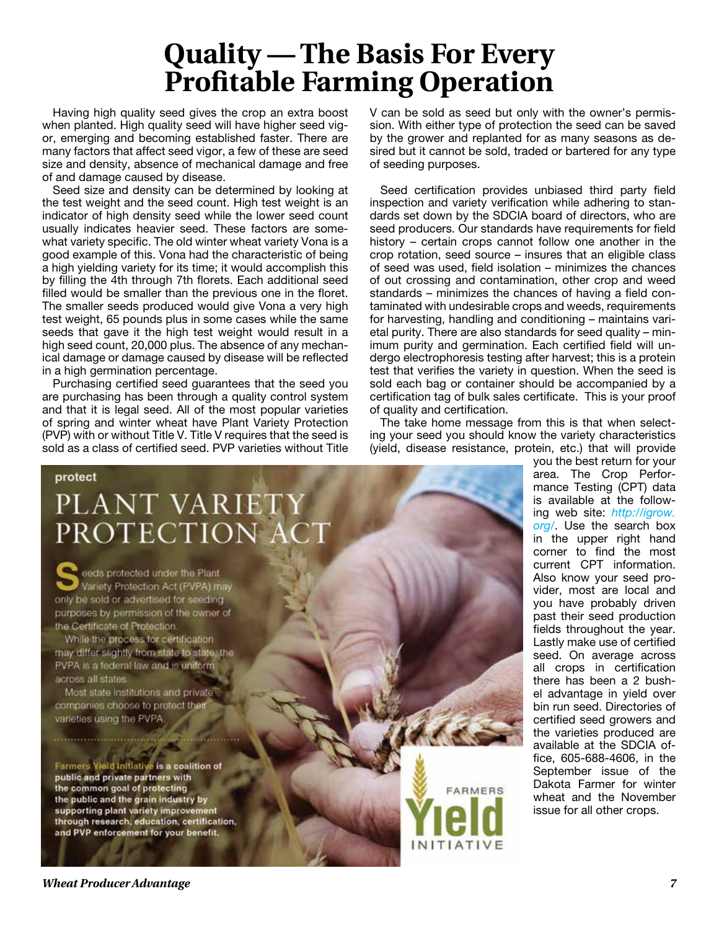# **Quality — The Basis For Every Profitable Farming Operation**

Having high quality seed gives the crop an extra boost when planted. High quality seed will have higher seed vigor, emerging and becoming established faster. There are many factors that affect seed vigor, a few of these are seed size and density, absence of mechanical damage and free of and damage caused by disease.

Seed size and density can be determined by looking at the test weight and the seed count. High test weight is an indicator of high density seed while the lower seed count usually indicates heavier seed. These factors are somewhat variety specific. The old winter wheat variety Vona is a good example of this. Vona had the characteristic of being a high yielding variety for its time; it would accomplish this by filling the 4th through 7th florets. Each additional seed filled would be smaller than the previous one in the floret. The smaller seeds produced would give Vona a very high test weight, 65 pounds plus in some cases while the same seeds that gave it the high test weight would result in a high seed count, 20,000 plus. The absence of any mechanical damage or damage caused by disease will be reflected in a high germination percentage.

Purchasing certified seed guarantees that the seed you are purchasing has been through a quality control system and that it is legal seed. All of the most popular varieties of spring and winter wheat have Plant Variety Protection (PVP) with or without Title V. Title V requires that the seed is sold as a class of certified seed. PVP varieties without Title

V can be sold as seed but only with the owner's permission. With either type of protection the seed can be saved by the grower and replanted for as many seasons as desired but it cannot be sold, traded or bartered for any type of seeding purposes.

Seed certification provides unbiased third party field inspection and variety verification while adhering to standards set down by the SDCIA board of directors, who are seed producers. Our standards have requirements for field history – certain crops cannot follow one another in the crop rotation, seed source – insures that an eligible class of seed was used, field isolation – minimizes the chances of out crossing and contamination, other crop and weed standards – minimizes the chances of having a field contaminated with undesirable crops and weeds, requirements for harvesting, handling and conditioning – maintains varietal purity. There are also standards for seed quality – minimum purity and germination. Each certified field will undergo electrophoresis testing after harvest; this is a protein test that verifies the variety in question. When the seed is sold each bag or container should be accompanied by a certification tag of bulk sales certificate. This is your proof of quality and certification.

The take home message from this is that when selecting your seed you should know the variety characteristics (yield, disease resistance, protein, etc.) that will provide you the best return for your

FARMERS

**INITIATIVE** 

## protect PLANT VARIETY PROTECTION ACT

eeds protected under the Plant Variety Protection Act (PVPA) may only be sold or advertised for seeding purposes by permission of the owner of the Certificate of Protection.

While the process for certification may differ slightly from state to state, the PVPA is a federal law and is uniform across all states

Most state institutions and private companies choose to protect the varieties using the PVPA

Farmers Yield Initiative is a coalition of public and private partners with the common goal of protecting the public and the grain industry by supporting plant variety improvement through research, education, certification, and PVP enforcement for your benefit.

area. The Crop Performance Testing (CPT) data is available at the following web site: *http://igrow. org/*. Use the search box in the upper right hand corner to find the most current CPT information. Also know your seed provider, most are local and you have probably driven past their seed production fields throughout the year. Lastly make use of certified seed. On average across all crops in certification there has been a 2 bushel advantage in yield over bin run seed. Directories of certified seed growers and the varieties produced are available at the SDCIA office, 605-688-4606, in the September issue of the Dakota Farmer for winter wheat and the November issue for all other crops.